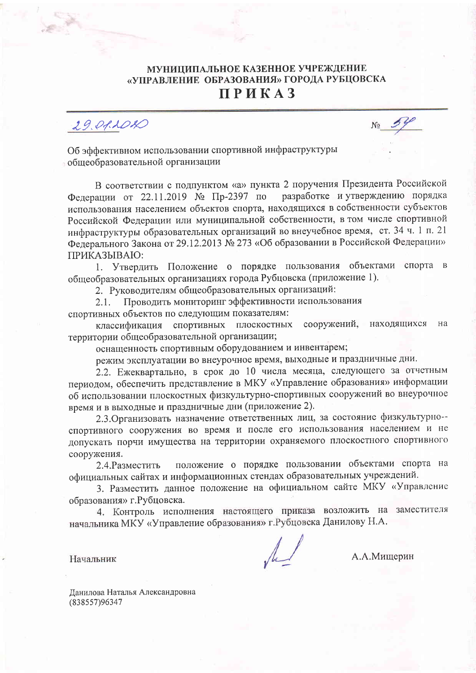## МУНИЦИПАЛЬНОЕ КАЗЕННОЕ УЧРЕЖДЕНИЕ «УПРАВЛЕНИЕ ОБРАЗОВАНИЯ» ГОРОДА РУБЦОВСКА **ПРИКАЗ**

 $29.011010$ 

Об эффективном использовании спортивной инфраструктуры общеобразовательной организации

В соответствии с подпунктом «а» пункта 2 поручения Президента Российской Федерации от 22.11.2019 № Пр-2397 по разработке и утверждению порядка использования населением объектов спорта, находящихся в собственности субъектов Российской Федерации или муниципальной собственности, в том числе спортивной инфраструктуры образовательных организаций во внеучебное время, ст. 34 ч. 1 п. 21 Федерального Закона от 29.12.2013 № 273 «Об образовании в Российской Федерации» ПРИКАЗЫВАЮ:

1. Утвердить Положение о порядке пользования объектами спорта в общеобразовательных организациях города Рубцовска (приложение 1).

2. Руководителям общеобразовательных организаций:

Проводить мониторинг эффективности использования  $2.1.$ спортивных объектов по следующим показателям:

классификация спортивных плоскостных сооружений, находящихся на территории общеобразовательной организации;

оснащенность спортивным оборудованием и инвентарем;

режим эксплуатации во внеурочное время, выходные и праздничные дни.

2.2. Ежеквартально, в срок до 10 числа месяца, следующего за отчетным периодом, обеспечить представление в МКУ «Управление образования» информации об использовании плоскостных физкультурно-спортивных сооружений во внеурочное время и в выходные и праздничные дни (приложение 2).

2.3. Организовать назначение ответственных лиц, за состояние физкультурно-спортивного сооружения во время и после его использования населением и не допускать порчи имущества на территории охраняемого плоскостного спортивного сооружения.

положение о порядке пользовании объектами спорта на 2.4. Разместить официальных сайтах и информационных стендах образовательных учреждений.

3. Разместить данное положение на официальном сайте МКУ «Управление образования» г. Рубцовска.

4. Контроль исполнения настоящего приказа возложить на заместителя начальника МКУ «Управление образования» г. Рубцовска Данилову Н.А.

Начальник

А.А.Мищерин

Данилова Наталья Александровна (838557)96347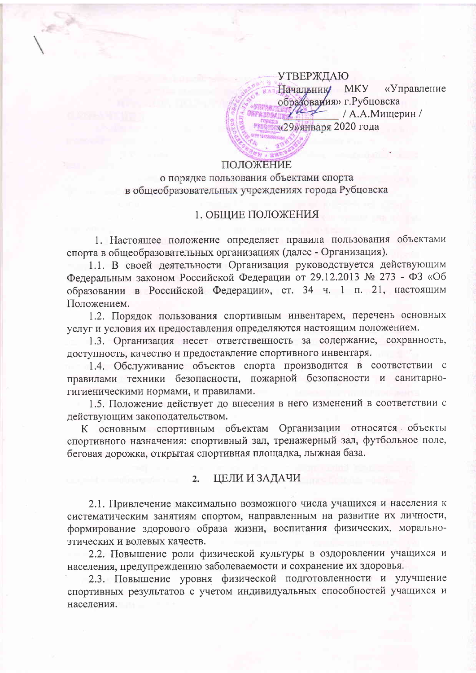**УТВЕРЖДАЮ** «Управление Начальник MKY образоваиия» г. Рубцовска ut / А.А.Мищерин / «29»января 2020 года

### ПОЛОЖЕНИЕ

о порядке пользования объектами спорта в общеобразовательных учреждениях города Рубцовска

## 1. ОБЩИЕ ПОЛОЖЕНИЯ

1. Настоящее положение определяет правила пользования объектами спорта в общеобразовательных организациях (далее - Организация).

1.1. В своей деятельности Организация руководствуется действующим Федеральным законом Российской Федерации от 29.12.2013 № 273 - ФЗ «Об образовании в Российской Федерации», ст. 34 ч. 1 п. 21, настоящим Положением.

1.2. Порядок пользования спортивным инвентарем, перечень основных услуг и условия их предоставления определяются настоящим положением.

1.3. Организация несет ответственность за содержание, сохранность, доступность, качество и предоставление спортивного инвентаря.

1.4. Обслуживание объектов спорта производится в соответствии с правилами техники безопасности, пожарной безопасности и санитарногигиеническими нормами, и правилами.

1.5. Положение действует до внесения в него изменений в соответствии с действующим законодательством.

К основным спортивным объектам Организации относятся объекты спортивного назначения: спортивный зал, тренажерный зал, футбольное поле, беговая дорожка, открытая спортивная площадка, лыжная база.

#### ЦЕЛИ И ЗАДАЧИ  $2.$

2.1. Привлечение максимально возможного числа учащихся и населения к систематическим занятиям спортом, направленным на развитие их личности, формирование здорового образа жизни, воспитания физических, моральноэтических и волевых качеств.

2.2. Повышение роли физической культуры в оздоровлении учащихся и населения, предупреждению заболеваемости и сохранение их здоровья.

2.3. Повышение уровня физической подготовленности и улучшение спортивных результатов с учетом индивидуальных способностей учащихся и населения.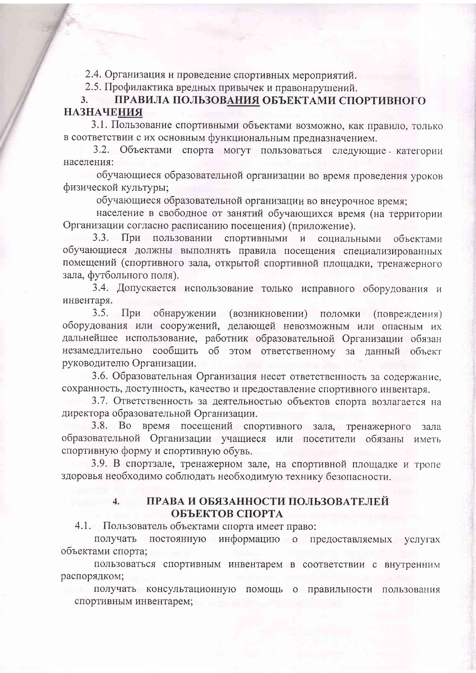2.4. Организация и проведение спортивных мероприятий.

2.5. Профилактика вредных привычек и правонарушений.

### ПРАВИЛА ПОЛЬЗОВАНИЯ ОБЪЕКТАМИ СПОРТИВНОГО  $3.$ **НАЗНАЧЕНИЯ**

3.1. Пользование спортивными объектами возможно, как правило, только в соответствии с их основным функциональным предназначением.

3.2. Объектами спорта могут пользоваться следующие категории населения:

обучающиеся образовательной организации во время проведения уроков физической культуры;

обучающиеся образовательной организации во внеурочное время;

население в свободное от занятий обучающихся время (на территории Организации согласно расписанию посещения) (приложение).

При пользовании спортивными и  $3.3.$ социальными объектами обучающиеся должны выполнять правила посещения специализированных помещений (спортивного зала, открытой спортивной площадки, тренажерного зала, футбольного поля).

3.4. Допускается использование только исправного оборудования и инвентаря.

3.5. При обнаружении (возникновении) поломки (повреждения) оборудования или сооружений, делающей невозможным или опасным их дальнейшее использование, работник образовательной Организации обязан незамедлительно сообщить об этом ответственному за данный объект руководителю Организации.

3.6. Образовательная Организация несет ответственность за содержание, сохранность, доступность, качество и предоставление спортивного инвентаря.

3.7. Ответственность за деятельностью объектов спорта возлагается на директора образовательной Организации.

3.8. Во время посещений спортивного зала, тренажерного зала образовательной Организации учащиеся или посетители обязаны иметь спортивную форму и спортивную обувь.

3.9. В спортзале, тренажерном зале, на спортивной площадке и тропе здоровья необходимо соблюдать необходимую технику безопасности.

# ПРАВА И ОБЯЗАННОСТИ ПОЛЬЗОВАТЕЛЕЙ ОБЪЕКТОВ СПОРТА

4.1. Пользователь объектами спорта имеет право:

получать постоянную информацию о предоставляемых услугах объектами спорта;

пользоваться спортивным инвентарем в соответствии с внутренним распорядком;

получать консультационную помощь о правильности пользования спортивным инвентарем;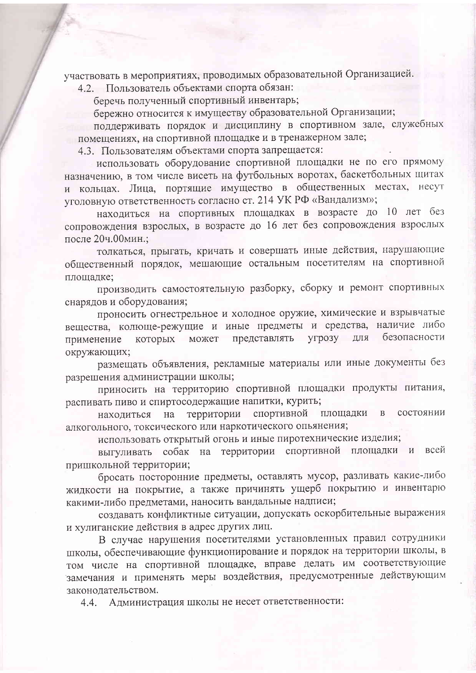участвовать в мероприятиях, проводимых образовательной Организацией.

4.2. Пользователь объектами спорта обязан:

беречь полученный спортивный инвентарь;

бережно относится к имуществу образовательной Организации;

поддерживать порядок и дисциплину в спортивном зале, служебных помещениях, на спортивной площадке и в тренажерном зале;

4.3. Пользователям объектами спорта запрещается:

использовать оборудование спортивной площадки не по его прямому назначению, в том числе висеть на футбольных воротах, баскетбольных щитах и кольцах. Лица, портящие имущество в общественных местах, несут уголовную ответственность согласно ст. 214 УК РФ «Вандализм»;

находиться на спортивных площадках в возрасте до 10 лет без сопровождения взрослых, в возрасте до 16 лет без сопровождения взрослых после 20ч.00мин.;

толкаться, прыгать, кричать и совершать иные действия, нарушающие общественный порядок, мешающие остальным посетителям на спортивной плошадке;

производить самостоятельную разборку, сборку и ремонт спортивных снарядов и оборудования;

проносить огнестрельное и холодное оружие, химические и взрывчатые вещества, колюще-режущие и иные предметы и средства, наличие либо безопасности представлять угрозу для может применение которых окружающих;

размещать объявления, рекламные материалы или иные документы без разрешения администрации школы;

приносить на территорию спортивной площадки продукты питания, распивать пиво и спиртосодержащие напитки, курить;

территории находиться спортивной площадки  $\bf{B}$ состоянии на алкогольного, токсического или наркотического опьянения;

использовать открытый огонь и иные пиротехнические изделия;

собак на территории спортивной площадки и всей выгуливать пришкольной территории;

бросать посторонние предметы, оставлять мусор, разливать какие-либо жидкости на покрытие, а также причинять ущерб покрытию и инвентарю какими-либо предметами, наносить вандальные надписи;

создавать конфликтные ситуации, допускать оскорбительные выражения и хулиганские действия в адрес других лиц.

В случае нарушения посетителями установленных правил сотрудники школы, обеспечивающие функционирование и порядок на территории школы, в том числе на спортивной площадке, вправе делать им соответствующие замечания и применять меры воздействия, предусмотренные действующим законодательством.

Администрация школы не несет ответственности: 4.4.